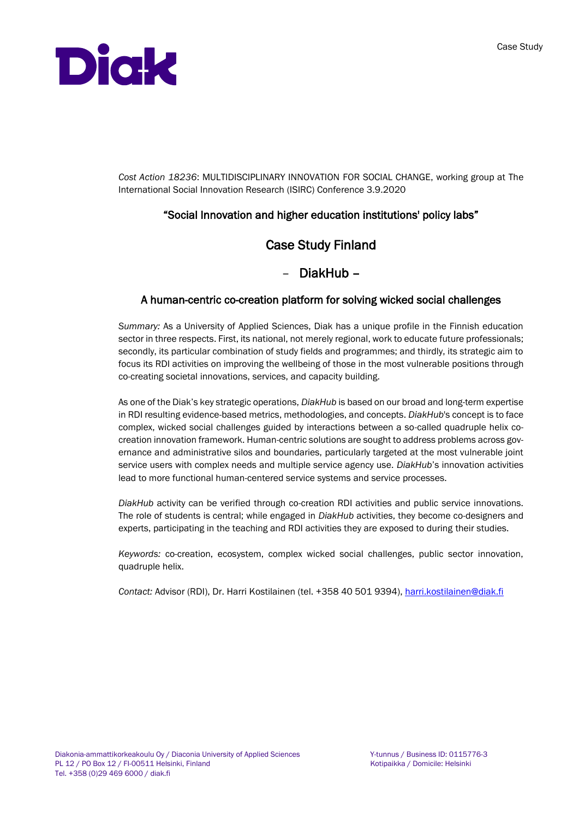

*Cost Action 18236*: MULTIDISCIPLINARY INNOVATION FOR SOCIAL CHANGE, working group at The International Social Innovation Research (ISIRC) Conference 3.9.2020

## "Social Innovation and higher education institutions' policy labs"

## Case Study Finland

## – DiakHub –

## A human-centric co-creation platform for solving wicked social challenges

*Summary:* As a University of Applied Sciences, Diak has a unique profile in the Finnish education sector in three respects. First, its national, not merely regional, work to educate future professionals; secondly, its particular combination of study fields and programmes; and thirdly, its strategic aim to focus its RDI activities on improving the wellbeing of those in the most vulnerable positions through co-creating societal innovations, services, and capacity building.

As one of the Diak's key strategic operations, *DiakHub* is based on our broad and long-term expertise in RDI resulting evidence-based metrics, methodologies, and concepts. *DiakHub*'s concept is to face complex, wicked social challenges guided by interactions between a so-called quadruple helix cocreation innovation framework. Human-centric solutions are sought to address problems across governance and administrative silos and boundaries, particularly targeted at the most vulnerable joint service users with complex needs and multiple service agency use. *DiakHub*'s innovation activities lead to more functional human-centered service systems and service processes.

*DiakHub* activity can be verified through co-creation RDI activities and public service innovations. The role of students is central; while engaged in *DiakHub* activities, they become co-designers and experts, participating in the teaching and RDI activities they are exposed to during their studies.

*Keywords:* co-creation, ecosystem, complex wicked social challenges, public sector innovation, quadruple helix.

*Contact:* Advisor (RDI), Dr. Harri Kostilainen (tel. +358 40 501 9394)[, harri.kostilainen@diak.fi](mailto:harri.kostilainen@diak.fi)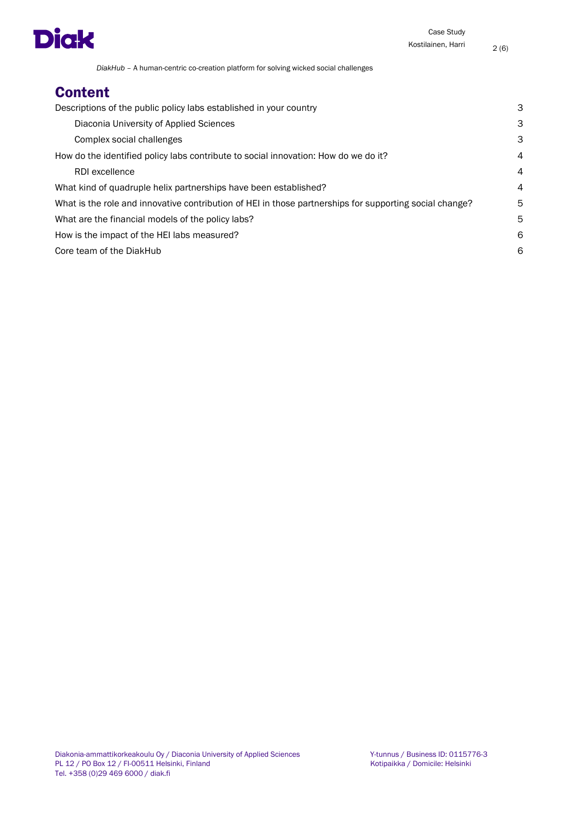

# **Content**

| Descriptions of the public policy labs established in your country                                      | З              |
|---------------------------------------------------------------------------------------------------------|----------------|
| Diaconia University of Applied Sciences                                                                 | З              |
| Complex social challenges                                                                               | З              |
| How do the identified policy labs contribute to social innovation: How do we do it?                     | $\overline{4}$ |
| RDI excellence                                                                                          | $\overline{4}$ |
| What kind of quadruple helix partnerships have been established?                                        | $\overline{4}$ |
| What is the role and innovative contribution of HEI in those partnerships for supporting social change? | 5              |
| What are the financial models of the policy labs?                                                       | 5              |
| How is the impact of the HEI labs measured?                                                             | 6              |
| Core team of the DiakHub                                                                                | 6              |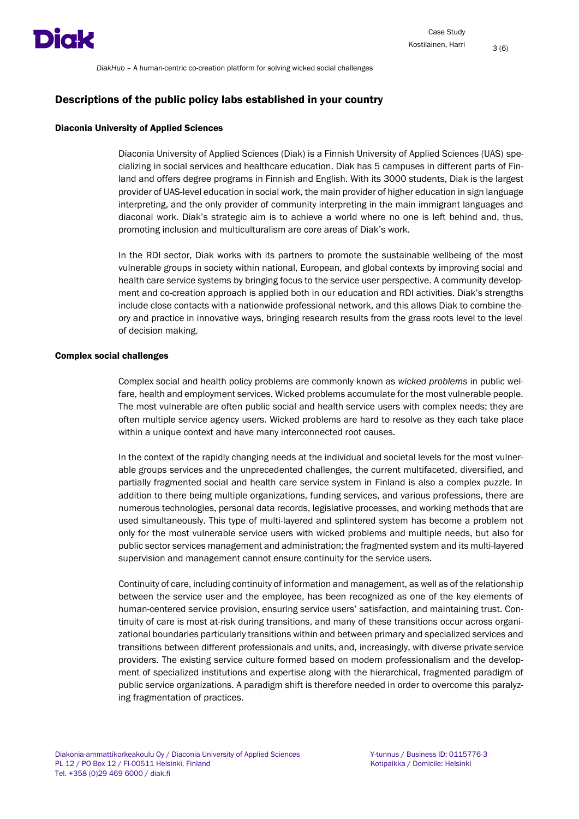

#### <span id="page-2-0"></span>Descriptions of the public policy labs established in your country

#### <span id="page-2-1"></span>Diaconia University of Applied Sciences

Diaconia University of Applied Sciences (Diak) is a Finnish University of Applied Sciences (UAS) specializing in social services and healthcare education. Diak has 5 campuses in different parts of Finland and offers degree programs in Finnish and English. With its 3000 students, Diak is the largest provider of UAS-level education in social work, the main provider of higher education in sign language interpreting, and the only provider of community interpreting in the main immigrant languages and diaconal work. Diak's strategic aim is to achieve a world where no one is left behind and, thus, promoting inclusion and multiculturalism are core areas of Diak's work.

In the RDI sector, Diak works with its partners to promote the sustainable wellbeing of the most vulnerable groups in society within national, European, and global contexts by improving social and health care service systems by bringing focus to the service user perspective. A community development and co-creation approach is applied both in our education and RDI activities. Diak's strengths include close contacts with a nationwide professional network, and this allows Diak to combine theory and practice in innovative ways, bringing research results from the grass roots level to the level of decision making.

#### <span id="page-2-2"></span>Complex social challenges

Complex social and health policy problems are commonly known as *wicked problems* in public welfare, health and employment services. Wicked problems accumulate for the most vulnerable people. The most vulnerable are often public social and health service users with complex needs; they are often multiple service agency users. Wicked problems are hard to resolve as they each take place within a unique context and have many interconnected root causes.

In the context of the rapidly changing needs at the individual and societal levels for the most vulnerable groups services and the unprecedented challenges, the current multifaceted, diversified, and partially fragmented social and health care service system in Finland is also a complex puzzle. In addition to there being multiple organizations, funding services, and various professions, there are numerous technologies, personal data records, legislative processes, and working methods that are used simultaneously. This type of multi-layered and splintered system has become a problem not only for the most vulnerable service users with wicked problems and multiple needs, but also for public sector services management and administration; the fragmented system and its multi-layered supervision and management cannot ensure continuity for the service users.

Continuity of care, including continuity of information and management, as well as of the relationship between the service user and the employee, has been recognized as one of the key elements of human-centered service provision, ensuring service users' satisfaction, and maintaining trust. Continuity of care is most at-risk during transitions, and many of these transitions occur across organizational boundaries particularly transitions within and between primary and specialized services and transitions between different professionals and units, and, increasingly, with diverse private service providers. The existing service culture formed based on modern professionalism and the development of specialized institutions and expertise along with the hierarchical, fragmented paradigm of public service organizations. A paradigm shift is therefore needed in order to overcome this paralyzing fragmentation of practices.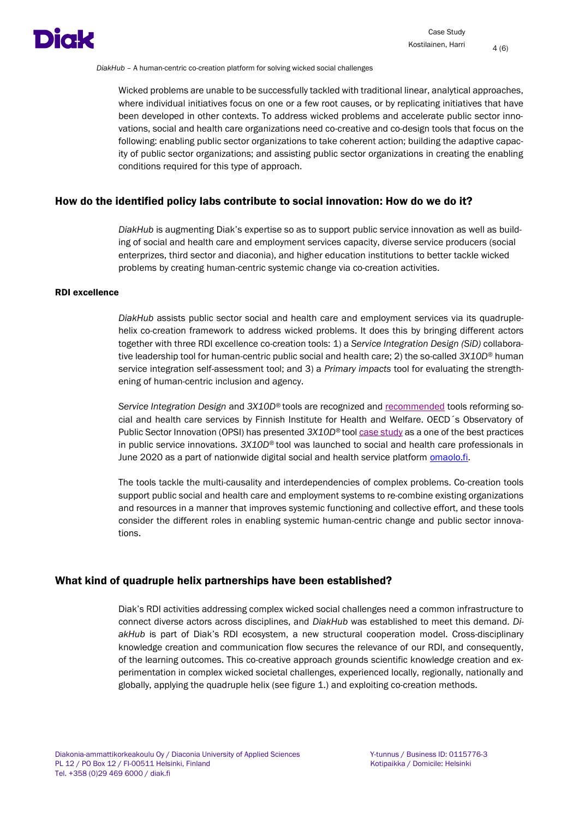

Wicked problems are unable to be successfully tackled with traditional linear, analytical approaches, where individual initiatives focus on one or a few root causes, or by replicating initiatives that have been developed in other contexts. To address wicked problems and accelerate public sector innovations, social and health care organizations need co-creative and co-design tools that focus on the following: enabling public sector organizations to take coherent action; building the adaptive capacity of public sector organizations; and assisting public sector organizations in creating the enabling conditions required for this type of approach.

#### <span id="page-3-0"></span>How do the identified policy labs contribute to social innovation: How do we do it?

*DiakHub* is augmenting Diak's expertise so as to support public service innovation as well as building of social and health care and employment services capacity, diverse service producers (social enterprizes, third sector and diaconia), and higher education institutions to better tackle wicked problems by creating human-centric systemic change via co-creation activities.

#### <span id="page-3-1"></span>RDI excellence

*DiakHub* assists public sector social and health care and employment services via its quadruplehelix co-creation framework to address wicked problems. It does this by bringing different actors together with three RDI excellence co-creation tools: 1) a *Service Integration Design (SiD)* collaborative leadership tool for human-centric public social and health care; 2) the so-called *3X10D®* human service integration self-assessment tool; and 3) a *Primary impacts* tool for evaluating the strengthening of human-centric inclusion and agency.

*Service Integration Design* and *3X10D®* tools are recognized and [recommended](https://thl.fi/fi/web/sote-uudistus/tulevaisuuden-sosiaali-ja-terveyskeskus/toimivia-toimintamalleja-hankevalmistelun-tueksi/palveluiden-monialaisuuden-ja-yhteentoimivuuden-varmistaminen) tools reforming social and health care services by Finnish Institute for Health and Welfare. OECD´s Observatory of Public Sector Innovation (OPSI) has presented *3X10D®* too[l case study](https://oecd-opsi.org/innovations/my-life-service-integration-model/) as a one of the best practices in public service innovations. *3X10D®* tool was launched to social and health care professionals in June 2020 as a part of nationwide digital social and health service platform **omaolo.fi**.

The tools tackle the multi-causality and interdependencies of complex problems. Co-creation tools support public social and health care and employment systems to re-combine existing organizations and resources in a manner that improves systemic functioning and collective effort, and these tools consider the different roles in enabling systemic human-centric change and public sector innovations.

#### <span id="page-3-2"></span>What kind of quadruple helix partnerships have been established?

Diak's RDI activities addressing complex wicked social challenges need a common infrastructure to connect diverse actors across disciplines, and *DiakHub* was established to meet this demand. *DiakHub* is part of Diak's RDI ecosystem, a new structural cooperation model. Cross-disciplinary knowledge creation and communication flow secures the relevance of our RDI, and consequently, of the learning outcomes. This co-creative approach grounds scientific knowledge creation and experimentation in complex wicked societal challenges, experienced locally, regionally, nationally and globally, applying the quadruple helix (see figure 1.) and exploiting co-creation methods.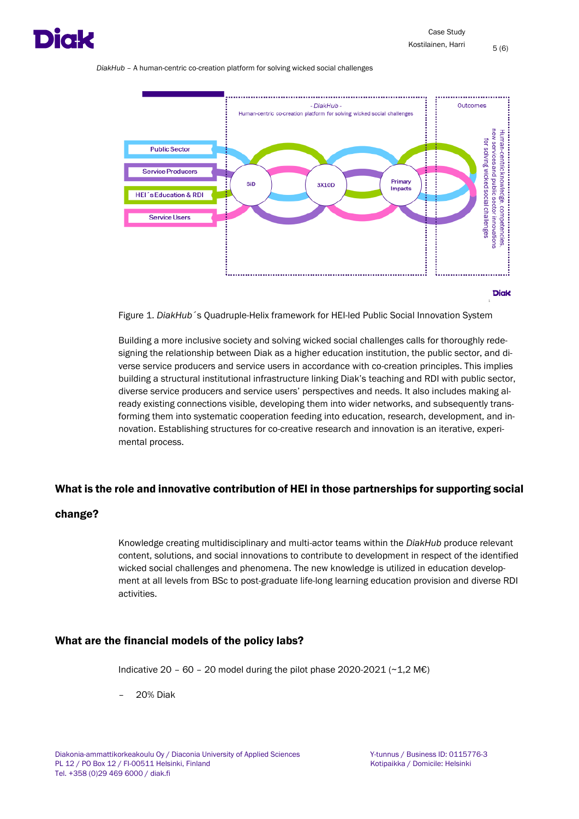



Figure 1. *DiakHub*´s Quadruple-Helix framework for HEI-led Public Social Innovation System

Building a more inclusive society and solving wicked social challenges calls for thoroughly redesigning the relationship between Diak as a higher education institution, the public sector, and diverse service producers and service users in accordance with co-creation principles. This implies building a structural institutional infrastructure linking Diak's teaching and RDI with public sector, diverse service producers and service users' perspectives and needs. It also includes making already existing connections visible, developing them into wider networks, and subsequently transforming them into systematic cooperation feeding into education, research, development, and innovation. Establishing structures for co-creative research and innovation is an iterative, experimental process.

#### <span id="page-4-0"></span>What is the role and innovative contribution of HEI in those partnerships for supporting social

### change?

Knowledge creating multidisciplinary and multi-actor teams within the *DiakHub* produce relevant content, solutions, and social innovations to contribute to development in respect of the identified wicked social challenges and phenomena. The new knowledge is utilized in education development at all levels from BSc to post-graduate life-long learning education provision and diverse RDI activities.

#### <span id="page-4-1"></span>What are the financial models of the policy labs?

Indicative 20 – 60 – 20 model during the pilot phase 2020-2021 (~1.2 M€)

– 20% Diak